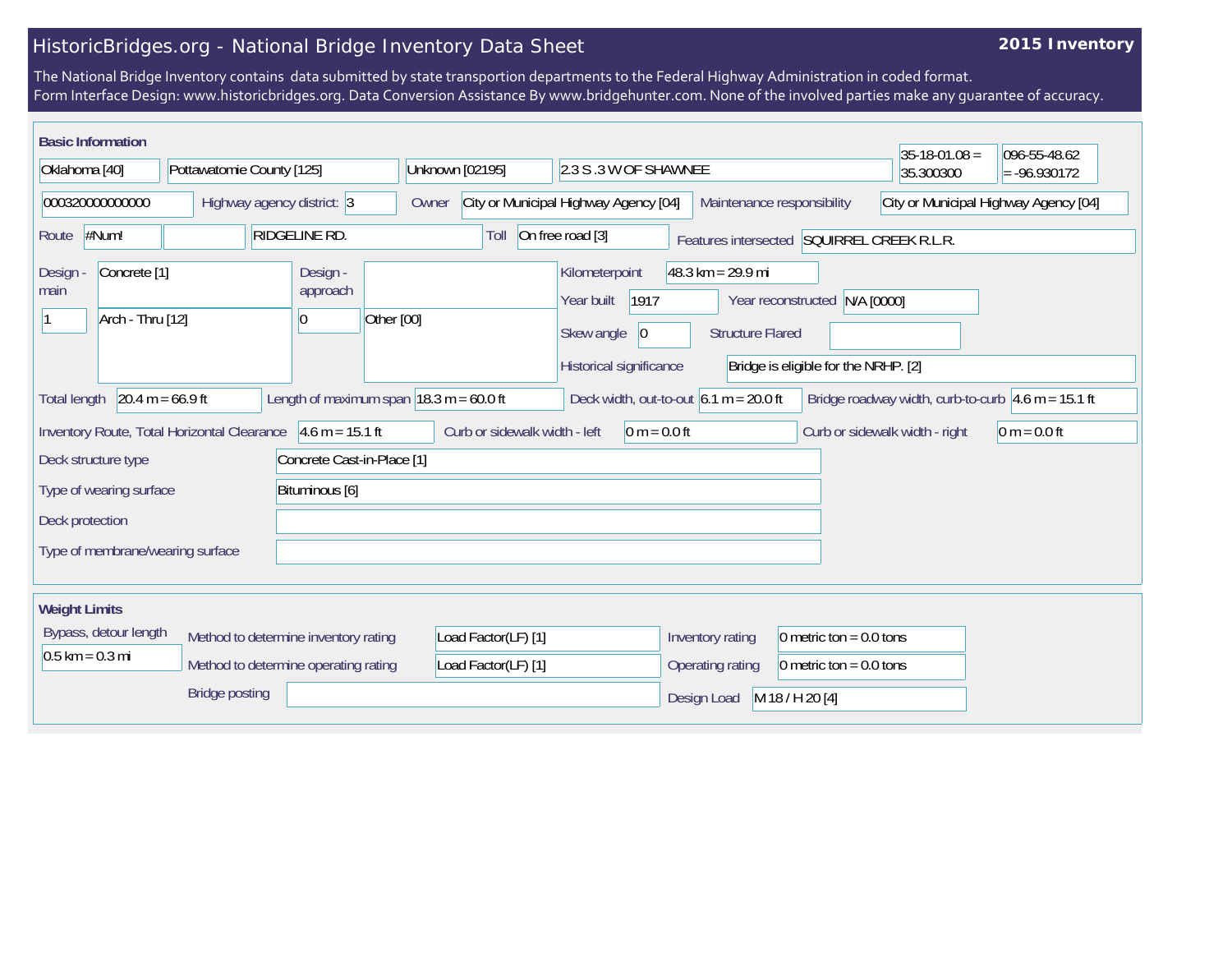## HistoricBridges.org - National Bridge Inventory Data Sheet

## **2015 Inventory**

The National Bridge Inventory contains data submitted by state transportion departments to the Federal Highway Administration in coded format. Form Interface Design: www.historicbridges.org. Data Conversion Assistance By www.bridgehunter.com. None of the involved parties make any guarantee of accuracy.

| <b>Basic Information</b>                                                                                                                                                                              |                                             |                                                                                                              |                                                |                                               |                                               |                                            | $35 - 18 - 01.08 =$                   | 096-55-48.62   |
|-------------------------------------------------------------------------------------------------------------------------------------------------------------------------------------------------------|---------------------------------------------|--------------------------------------------------------------------------------------------------------------|------------------------------------------------|-----------------------------------------------|-----------------------------------------------|--------------------------------------------|---------------------------------------|----------------|
| Oklahoma [40]<br>Pottawatomie County [125]                                                                                                                                                            |                                             |                                                                                                              | Unknown [02195]                                | 2.3 S .3 W OF SHAWNEE                         |                                               | 35.300300                                  | $= -96.930172$                        |                |
| 000320000000000<br>Highway agency district: 3                                                                                                                                                         |                                             |                                                                                                              | City or Municipal Highway Agency [04]<br>Owner |                                               | Maintenance responsibility                    |                                            | City or Municipal Highway Agency [04] |                |
| <b>RIDGELINE RD.</b><br>#Num!<br>Route                                                                                                                                                                |                                             |                                                                                                              | Toll                                           | On free road [3]                              |                                               | Features intersected SQUIRREL CREEK R.L.R. |                                       |                |
| Design -<br>Concrete <sup>[1]</sup><br>Design<br>approach<br>main                                                                                                                                     |                                             | $48.3 \text{ km} = 29.9 \text{ mi}$<br>Kilometerpoint<br>1917<br>Year built<br>Year reconstructed N/A [0000] |                                                |                                               |                                               |                                            |                                       |                |
| Arch - Thru [12]<br>10                                                                                                                                                                                |                                             |                                                                                                              | Other [00]                                     | 0 <br>Skew angle<br><b>Structure Flared</b>   |                                               |                                            |                                       |                |
|                                                                                                                                                                                                       |                                             |                                                                                                              |                                                | Historical significance                       |                                               | Bridge is eligible for the NRHP. [2]       |                                       |                |
| $20.4 m = 66.9 ft$<br>Length of maximum span $ 18.3 \text{ m} = 60.0 \text{ ft} $<br>Deck width, out-to-out $6.1 m = 20.0 ft$<br>Bridge roadway width, curb-to-curb $4.6$ m = 15.1 ft<br>Total length |                                             |                                                                                                              |                                                |                                               |                                               |                                            |                                       |                |
|                                                                                                                                                                                                       | Inventory Route, Total Horizontal Clearance | $4.6 m = 15.1 ft$                                                                                            | Curb or sidewalk width - left                  | 0 m = $0.0$ ft                                |                                               |                                            | Curb or sidewalk width - right        | $0 m = 0.0 ft$ |
| Deck structure type                                                                                                                                                                                   |                                             | Concrete Cast-in-Place [1]                                                                                   |                                                |                                               |                                               |                                            |                                       |                |
| Type of wearing surface                                                                                                                                                                               |                                             | Bituminous [6]                                                                                               |                                                |                                               |                                               |                                            |                                       |                |
| Deck protection                                                                                                                                                                                       |                                             |                                                                                                              |                                                |                                               |                                               |                                            |                                       |                |
| Type of membrane/wearing surface                                                                                                                                                                      |                                             |                                                                                                              |                                                |                                               |                                               |                                            |                                       |                |
|                                                                                                                                                                                                       |                                             |                                                                                                              |                                                |                                               |                                               |                                            |                                       |                |
| <b>Weight Limits</b>                                                                                                                                                                                  |                                             |                                                                                                              |                                                |                                               |                                               |                                            |                                       |                |
| Bypass, detour length<br>Method to determine inventory rating                                                                                                                                         |                                             | Load Factor(LF) [1]                                                                                          |                                                | Inventory rating<br>0 metric ton = $0.0$ tons |                                               |                                            |                                       |                |
| $0.5$ km = 0.3 mi<br>Method to determine operating rating                                                                                                                                             |                                             |                                                                                                              | Load Factor(LF) [1]                            |                                               | 0 metric ton = $0.0$ tons<br>Operating rating |                                            |                                       |                |
| <b>Bridge posting</b>                                                                                                                                                                                 |                                             |                                                                                                              |                                                |                                               | Design Load                                   | M 18 / H 20 [4]                            |                                       |                |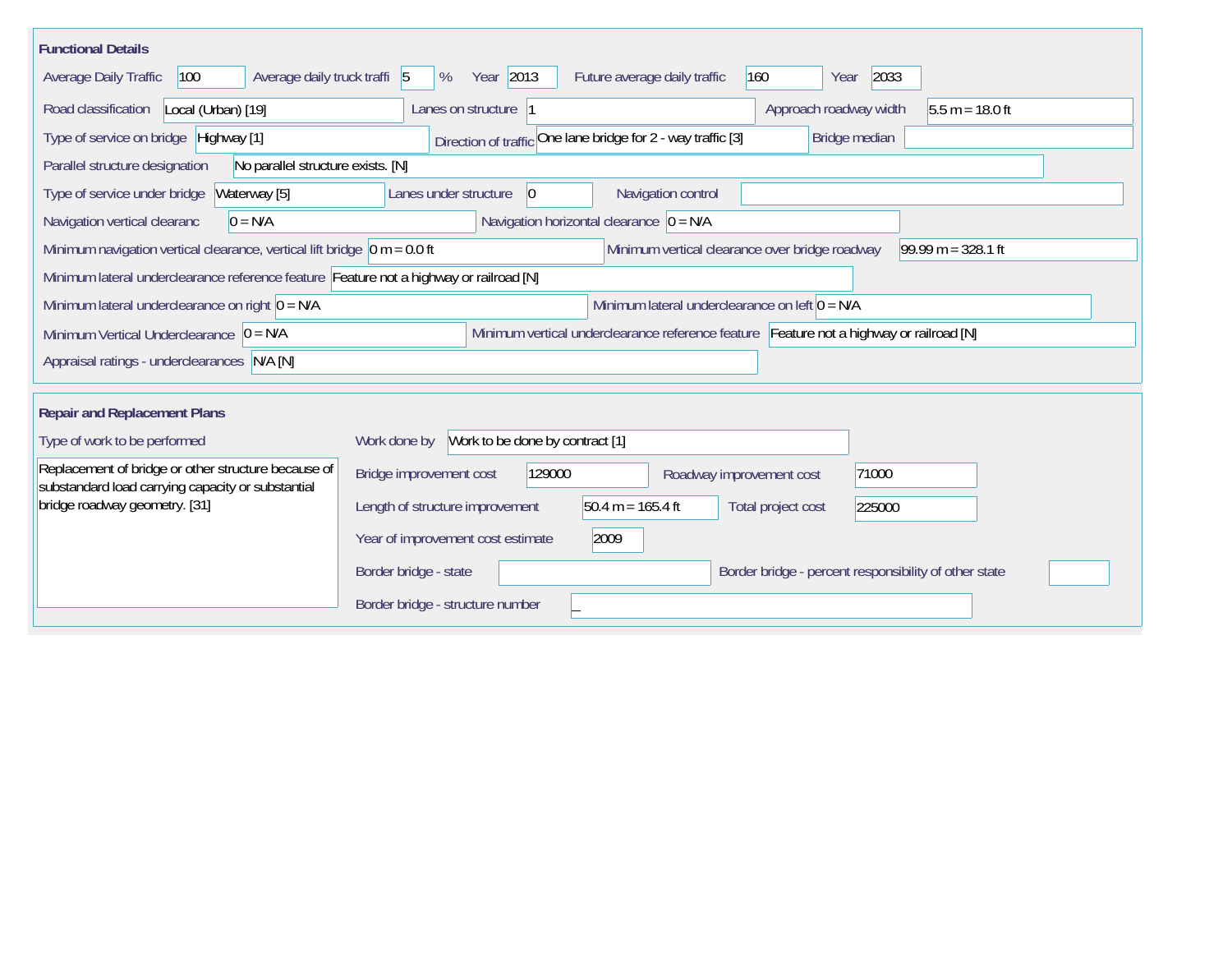| <b>Functional Details</b>                                                                                                                                  |                                                                                         |  |  |  |  |  |  |  |  |
|------------------------------------------------------------------------------------------------------------------------------------------------------------|-----------------------------------------------------------------------------------------|--|--|--|--|--|--|--|--|
| Average daily truck traffi 5<br>Average Daily Traffic<br>100                                                                                               | Year 2013<br>160<br>2033<br>%<br>Future average daily traffic<br>Year                   |  |  |  |  |  |  |  |  |
| Road classification<br>Local (Urban) [19]                                                                                                                  | $5.5 m = 18.0 ft$<br>Lanes on structure 1<br>Approach roadway width                     |  |  |  |  |  |  |  |  |
| Type of service on bridge Highway [1]                                                                                                                      | Direction of traffic One lane bridge for 2 - way traffic [3]<br>Bridge median           |  |  |  |  |  |  |  |  |
| Parallel structure designation<br>No parallel structure exists. [N]                                                                                        |                                                                                         |  |  |  |  |  |  |  |  |
| Type of service under bridge<br>Waterway [5]                                                                                                               | Navigation control<br>$ 0\rangle$<br>Lanes under structure                              |  |  |  |  |  |  |  |  |
| Navigation horizontal clearance $\overline{0}$ = N/A<br>$0 = N/A$<br>Navigation vertical clearanc                                                          |                                                                                         |  |  |  |  |  |  |  |  |
| $99.99 m = 328.1 ft$<br>Minimum navigation vertical clearance, vertical lift bridge $\vert$ 0 m = 0.0 ft<br>Minimum vertical clearance over bridge roadway |                                                                                         |  |  |  |  |  |  |  |  |
| Minimum lateral underclearance reference feature Feature not a highway or railroad [N]                                                                     |                                                                                         |  |  |  |  |  |  |  |  |
| Minimum lateral underclearance on left $0 = N/A$<br>Minimum lateral underclearance on right $0 = N/A$                                                      |                                                                                         |  |  |  |  |  |  |  |  |
| Minimum Vertical Underclearance $ 0 = N/A$                                                                                                                 | Minimum vertical underclearance reference feature Feature not a highway or railroad [N] |  |  |  |  |  |  |  |  |
| Appraisal ratings - underclearances N/A [N]                                                                                                                |                                                                                         |  |  |  |  |  |  |  |  |
|                                                                                                                                                            |                                                                                         |  |  |  |  |  |  |  |  |
| <b>Repair and Replacement Plans</b>                                                                                                                        |                                                                                         |  |  |  |  |  |  |  |  |
| Type of work to be performed                                                                                                                               | Work to be done by contract [1]<br>Work done by                                         |  |  |  |  |  |  |  |  |
| Replacement of bridge or other structure because of<br>substandard load carrying capacity or substantial                                                   | Bridge improvement cost<br>129000<br>71000<br>Roadway improvement cost                  |  |  |  |  |  |  |  |  |
| bridge roadway geometry. [31]                                                                                                                              | Length of structure improvement<br>$50.4 m = 165.4 ft$<br>Total project cost<br>225000  |  |  |  |  |  |  |  |  |
|                                                                                                                                                            | Year of improvement cost estimate<br>2009                                               |  |  |  |  |  |  |  |  |
|                                                                                                                                                            | Border bridge - state<br>Border bridge - percent responsibility of other state          |  |  |  |  |  |  |  |  |
|                                                                                                                                                            | Border bridge - structure number                                                        |  |  |  |  |  |  |  |  |